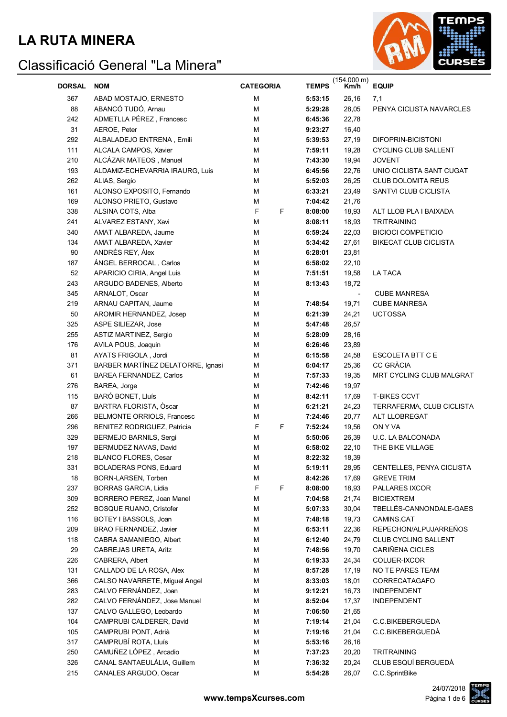#### **LA RUTA MINERA**



| <b>DORSAL</b> | <b>NOM</b>                         | <b>CATEGORIA</b> | <b>TEMPS</b> | (154.000 m)<br>Km/h | <b>EQUIP</b>                 |
|---------------|------------------------------------|------------------|--------------|---------------------|------------------------------|
| 367           | ABAD MOSTAJO, ERNESTO              | М                | 5:53:15      | 26,16               | 7,1                          |
| 88            | ABANCÓ TUDÓ, Arnau                 | М                | 5:29:28      | 28,05               | PENYA CICLISTA NAVARCLES     |
| 242           | ADMETLLA PÉREZ, Francesc           | M                | 6:45:36      | 22,78               |                              |
| 31            | AEROE, Peter                       | М                | 9:23:27      | 16,40               |                              |
| 292           | ALBALADEJO ENTRENA, Emili          | M                | 5:39:53      | 27,19               | DIFOPRIN-BICISTONI           |
| 111           | ALCALA CAMPOS, Xavier              | М                | 7:59:11      | 19,28               | <b>CYCLING CLUB SALLENT</b>  |
| 210           | ALCÁZAR MATEOS, Manuel             | M                | 7:43:30      | 19,94               | <b>JOVENT</b>                |
| 193           | ALDAMIZ-ECHEVARRIA IRAURG, Luis    | М                | 6:45:56      | 22,76               | UNIO CICLISTA SANT CUGAT     |
| 262           | ALIAS, Sergio                      | М                | 5:52:03      | 26,25               | <b>CLUB DOLOMITA REUS</b>    |
| 161           | ALONSO EXPOSITO, Fernando          | М                | 6:33:21      | 23,49               | SANTVI CLUB CICLISTA         |
| 169           | ALONSO PRIETO, Gustavo             | М                | 7:04:42      | 21,76               |                              |
| 338           | ALSINA COTS, Alba                  | F<br>F           | 8:08:00      | 18,93               | ALT LLOB PLA I BAIXADA       |
| 241           | ALVAREZ ESTANY, Xavi               | М                | 8:08:11      | 18,93               | <b>TRITRAINING</b>           |
| 340           | AMAT ALBAREDA, Jaume               | М                | 6:59:24      | 22,03               | <b>BICIOCI COMPETICIO</b>    |
| 134           | AMAT ALBAREDA, Xavier              | М                | 5:34:42      | 27,61               | <b>BIKECAT CLUB CICLISTA</b> |
| 90            | ANDRÉS REY, Álex                   | М                | 6:28:01      | 23,81               |                              |
| 187           | ÁNGEL BERROCAL, Carlos             | М                | 6:58:02      | 22,10               |                              |
| 52            | APARICIO CIRIA, Angel Luis         | М                | 7:51:51      | 19,58               | LA TACA                      |
| 243           | ARGUDO BADENES, Alberto            | M                | 8:13:43      | 18,72               |                              |
| 345           | ARNALOT, Oscar                     | M                |              |                     | <b>CUBE MANRESA</b>          |
| 219           | ARNAU CAPITAN, Jaume               | M                | 7:48:54      | 19,71               | <b>CUBE MANRESA</b>          |
| 50            | AROMIR HERNANDEZ, Josep            | M                | 6:21:39      | 24,21               | <b>UCTOSSA</b>               |
| 325           | ASPE SILIEZAR, Jose                | M                | 5:47:48      | 26,57               |                              |
| 255           | <b>ASTIZ MARTINEZ, Sergio</b>      | М                | 5:28:09      | 28,16               |                              |
| 176           | AVILA POUS, Joaquin                | М                | 6:26:46      | 23,89               |                              |
| 81            | AYATS FRIGOLA, Jordi               | М                | 6:15:58      | 24,58               | ESCOLETA BTT C E             |
| 371           | BARBER MARTÍNEZ DELATORRE, Ignasi  | М                | 6:04:17      | 25,36               | <b>CC GRÀCIA</b>             |
| 61            | <b>BAREA FERNANDEZ, Carlos</b>     | М                | 7:57:33      | 19,35               | MRT CYCLING CLUB MALGRAT     |
| 276           | BAREA, Jorge                       | М                | 7:42:46      | 19,97               |                              |
| 115           | BARÓ BONET, Lluís                  | М                | 8:42:11      | 17,69               | <b>T-BIKES CCVT</b>          |
| 87            | BARTRA FLORISTA, Oscar             | М                | 6:21:21      | 24,23               | TERRAFERMA, CLUB CICLISTA    |
| 266           | BELMONTE ORRIOLS, Francesc         | М                | 7:24:46      | 20,77               | ALT LLOBREGAT                |
| 296           | <b>BENITEZ RODRIGUEZ, Patricia</b> | F<br>F           | 7:52:24      | 19,56               | ON Y VA                      |
| 329           | <b>BERMEJO BARNILS, Sergi</b>      | M                | 5:50:06      | 26,39               | U.C. LA BALCONADA            |
| 197           | BERMUDEZ NAVAS, David              | М                | 6:58:02      | 22,10               | THE BIKE VILLAGE             |
| 218           | BLANCO FLORES, Cesar               | M                | 8:22:32      | 18,39               |                              |
| 331           | <b>BOLADERAS PONS, Eduard</b>      | М                | 5:19:11      | 28,95               | CENTELLES, PENYA CICLISTA    |
| $18\,$        | BORN-LARSEN, Torben                | М                | 8:42:26      | 17,69               | <b>GREVE TRIM</b>            |
| 237           | <b>BORRAS GARCIA, Lidia</b>        | F<br>F           | 8:08:00      | 18,93               | PALLARES IXCOR               |
| 309           | BORRERO PEREZ, Joan Manel          | М                | 7:04:58      | 21,74               | <b>BICIEXTREM</b>            |
| 252           | <b>BOSQUE RUANO, Cristofer</b>     | M                | 5:07:33      | 30,04               | TBELLES-CANNONDALE-GAES      |
| 116           | BOTEY I BASSOLS, Joan              | M                | 7:48:18      | 19,73               | CAMINS.CAT                   |
| 209           | BRAO FERNANDEZ, Javier             | M                | 6:53:11      | 22,36               | REPECHON/ALPUJARREÑOS        |
| 118           | CABRA SAMANIEGO, Albert            | М                | 6:12:40      | 24,79               | CLUB CYCLING SALLENT         |
| 29            | CABREJAS URETA, Aritz              | M                | 7:48:56      | 19,70               | CARIÑENA CICLES              |
| 226           | CABRERA, Albert                    | М                | 6:19:33      | 24,34               | COLUER-IXCOR                 |
| 131           | CALLADO DE LA ROSA, Alex           | M                | 8:57:28      | 17,19               | NO TE PARES TEAM             |
| 366           | CALSO NAVARRETE, Miguel Angel      | M                | 8:33:03      | 18,01               | CORRECATAGAFO                |
| 283           | CALVO FERNÁNDEZ, Joan              | M                | 9:12:21      | 16,73               | <b>INDEPENDENT</b>           |
| 282           | CALVO FERNÁNDEZ, Jose Manuel       | M                | 8:52:04      | 17,37               | INDEPENDENT                  |
| 137           | CALVO GALLEGO, Leobardo            | M                | 7:06:50      | 21,65               |                              |
| 104           | CAMPRUBI CALDERER, David           | M                | 7:19:14      | 21,04               | C.C.BIKEBERGUEDA             |
| 105           | CAMPRUBI PONT, Adrià               | M                | 7:19:16      | 21,04               | C.C.BIKEBERGUEDA             |
| 317           | CAMPRUBÍ ROTA, Lluís               | M                | 5:53:16      | 26,16               |                              |
| 250           | CAMUÑEZ LÓPEZ, Arcadio             | M                | 7:37:23      | 20,20               | <b>TRITRAINING</b>           |
| 326           | CANAL SANTAEULALIA, Guillem        | M                | 7:36:32      | 20,24               | CLUB ESQUÍ BERGUEDÀ          |
| 215           | CANALES ARGUDO, Oscar              | М                | 5:54:28      | 26,07               | C.C.SprintBike               |

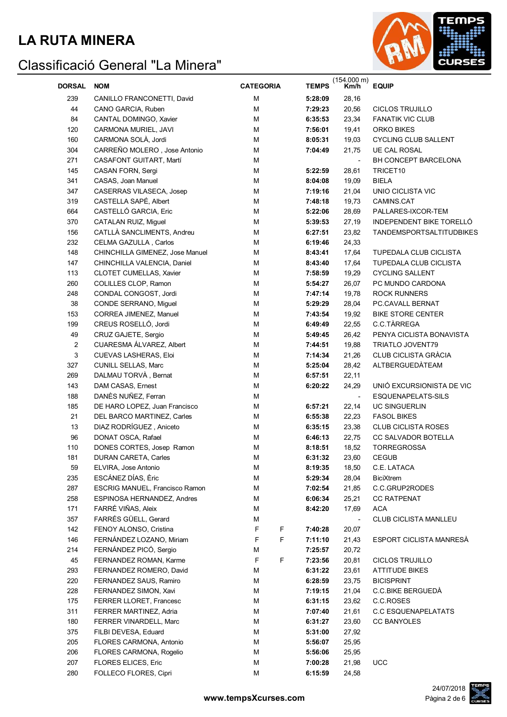

| <b>DORSAL</b>  | <b>NOM</b>                      | <b>CATEGORIA</b> | <b>TEMPS</b> | $(154.000 \text{ m})$<br>Km/h | <b>EQUIP</b>                    |
|----------------|---------------------------------|------------------|--------------|-------------------------------|---------------------------------|
| 239            | CANILLO FRANCONETTI, David      | M                | 5:28:09      | 28,16                         |                                 |
| 44             | CANO GARCIA, Ruben              | M                | 7:29:23      | 20,56                         | CICLOS TRUJILLO                 |
| 84             | CANTAL DOMINGO, Xavier          | M                | 6:35:53      | 23,34                         | <b>FANATIK VIC CLUB</b>         |
| 120            | CARMONA MURIEL, JAVI            | M                | 7:56:01      | 19,41                         | ORKO BIKES                      |
| 160            | CARMONA SOLÀ, Jordi             | M                | 8:05:31      | 19,03                         | <b>CYCLING CLUB SALLENT</b>     |
| 304            | CARREÑO MOLERO, Jose Antonio    | M                | 7:04:49      | 21,75                         | <b>UE CAL ROSAL</b>             |
| 271            | CASAFONT GUITART, Martí         | M                |              |                               | BH CONCEPT BARCELONA            |
| 145            | CASAN FORN, Sergi               | M                | 5:22:59      | 28,61                         | TRICET10                        |
| 341            | CASAS, Joan Manuel              | M                | 8:04:08      | 19,09                         | <b>BIELA</b>                    |
| 347            | CASERRAS VILASECA, Josep        | M                | 7:19:16      | 21,04                         | UNIO CICLISTA VIC               |
| 319            | CASTELLA SAPÉ, Albert           | M                | 7:48:18      | 19,73                         | CAMINS.CAT                      |
| 664            | CASTELLÓ GARCIA, Eric           | M                | 5:22:06      | 28,69                         | PALLARES-IXCOR-TEM              |
| 370            | CATALAN RUIZ, Miguel            | M                | 5:39:53      | 27,19                         | INDEPENDENT BIKE TORELLÓ        |
| 156            | CATLLÀ SANCLIMENTS, Andreu      | M                | 6:27:51      | 23,82                         | <b>TANDEMSPORTSALTITUDBIKES</b> |
| 232            | CELMA GAZULLA, Carlos           | M                | 6:19:46      | 24,33                         |                                 |
| 148            | CHINCHILLA GIMENEZ, Jose Manuel | M                | 8:43:41      | 17,64                         | TUPEDALA CLUB CICLISTA          |
| 147            | CHINCHILLA VALENCIA, Daniel     | М                | 8:43:40      | 17,64                         | <b>TUPEDALA CLUB CICLISTA</b>   |
| 113            | CLOTET CUMELLAS, Xavier         | М                | 7:58:59      | 19,29                         | <b>CYCLING SALLENT</b>          |
| 260            | COLILLES CLOP, Ramon            | M                | 5:54:27      | 26,07                         | PC MUNDO CARDONA                |
| 248            | CONDAL CONGOST, Jordi           | M                | 7:47:14      | 19,78                         | <b>ROCK RUNNERS</b>             |
| 38             | CONDE SERRANO, Miguel           | M                | 5:29:29      | 28,04                         | <b>PC.CAVALL BERNAT</b>         |
| 153            | CORREA JIMENEZ, Manuel          | M                | 7:43:54      | 19,92                         | <b>BIKE STORE CENTER</b>        |
| 199            | CREUS ROSELLÓ, Jordi            | M                | 6:49:49      | 22,55                         | C.C.TÀRREGA                     |
| 49             | CRUZ GAJETE, Sergio             | M                | 5:49:45      | 26,42                         | PENYA CICLISTA BONAVISTA        |
| $\overline{c}$ | CUARESMA ÁLVAREZ, Albert        | M                | 7:44:51      | 19,88                         | <b>TRIATLO JOVENT79</b>         |
| 3              | CUEVAS LASHERAS, Eloi           | M                | 7:14:34      | 21,26                         | <b>CLUB CICLISTA GRÀCIA</b>     |
| 327            | CUNILL SELLAS, Marc             | M                | 5:25:04      | 28,42                         | ALTBERGUEDATEAM                 |
| 269            | DALMAU TORVÀ, Bernat            | M                | 6:57:51      | 22,11                         |                                 |
| 143            | DAM CASAS, Ernest               | M                | 6:20:22      | 24,29                         | UNIÓ EXCURSIONISTA DE VIC       |
| 188            | DANÈS NUÑEZ, Ferran             | M                |              |                               | ESQUENAPELATS-SILS              |
| 185            | DE HARO LOPEZ, Juan Francisco   | M                | 6:57:21      | 22,14                         | <b>UC SINGUERLIN</b>            |
| 21             | DEL BARCO MARTINEZ, Carles      | M                | 6:55:38      | 22,23                         | <b>FASOL BIKES</b>              |
| 13             | DIAZ RODRÍGUEZ, Aniceto         | M                | 6:35:15      | 23,38                         | <b>CLUB CICLISTA ROSES</b>      |
| 96             | DONAT OSCA, Rafael              | M                | 6:46:13      | 22,75                         | CC SALVADOR BOTELLA             |
| 110            | DONES CORTES, Josep Ramon       | M                | 8:18:51      | 18,52                         | <b>TORREGROSSA</b>              |
| 181            | <b>DURAN CARETA, Carles</b>     | M                | 6:31:32      | 23,60                         | <b>CEGUB</b>                    |
| 59             | ELVIRA, Jose Antonio            | М                | 8:19:35      | 18,50                         | C.E. LATACA                     |
| 235            | ESCÁNEZ DÍAS, Èric              | M                | 5:29:34      | 28,04                         | <b>BiciXtrem</b>                |
| 287            | ESCRIG MANUEL, Francisco Ramon  | M                | 7:02:54      | 21,85                         | C.C.GRUP2RODES                  |
| 258            | ESPINOSA HERNANDEZ, Andres      | M                | 6:06:34      | 25,21                         | <b>CC RATPENAT</b>              |
| 171            | FARRÉ VIÑAS, Aleix              | М                | 8:42:20      | 17,69                         | <b>ACA</b>                      |
| 357            | FARRÉS GÜELL, Gerard            | M                |              |                               | <b>CLUB CICLISTA MANLLEU</b>    |
| 142            | FENOY ALONSO, Cristina          | F<br>F           | 7:40:28      | 20,07                         |                                 |
| 146            | FERNÁNDEZ LOZANO, Miriam        | F<br>F           | 7:11:10      | 21,43                         | ESPORT CICLISTA MANRESÀ         |
| 214            | FERNÁNDEZ PICÓ, Sergio          | M                | 7:25:57      | 20,72                         |                                 |
| 45             | FERNANDEZ ROMAN, Karme          | F<br>F           | 7:23:56      | 20,81                         | <b>CICLOS TRUJILLO</b>          |
| 293            | FERNANDEZ ROMERO, David         | М                | 6:31:22      | 23,61                         | <b>ATTITUDE BIKES</b>           |
| 220            | FERNANDEZ SAUS, Ramiro          | M                | 6:28:59      | 23,75                         | <b>BICISPRINT</b>               |
| 228            | FERNANDEZ SIMON, Xavi           | M                | 7:19:15      | 21,04                         | C.C.BIKE BERGUEDA               |
| 175            | <b>FERRER LLORET, Francesc</b>  | M                | 6:31:15      | 23,62                         | C.C.ROSES                       |
| 311            | FERRER MARTINEZ, Adria          | M                | 7:07:40      | 21,61                         | <b>C.C ESQUENAPELATATS</b>      |
| 180            | FERRER VINARDELL, Marc          | M                | 6:31:27      | 23,60                         | <b>CC BANYOLES</b>              |
| 375            | FILBI DEVESA, Eduard            | M                | 5:31:00      | 27,92                         |                                 |
| 205            | FLORES CARMONA, Antonio         | М                | 5:56:07      | 25,95                         |                                 |
| 206            | FLORES CARMONA, Rogelio         | М                | 5:56:06      | 25,95                         |                                 |
| 207            | <b>FLORES ELICES, Eric</b>      | М                | 7:00:28      | 21,98                         | <b>UCC</b>                      |
| 280            | FOLLECO FLORES, Cipri           | M                | 6:15:59      | 24,58                         |                                 |

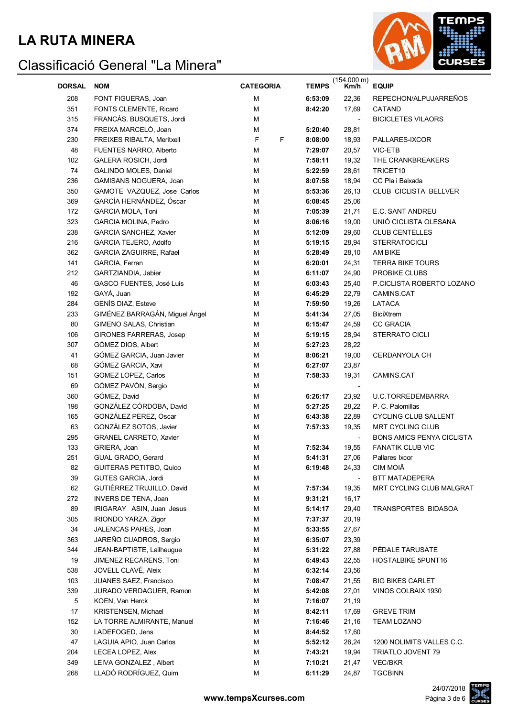

| <b>DORSAL</b> | <b>NOM</b>                     | <b>CATEGORIA</b> | <b>TEMPS</b> | (154.000 m)<br>Km/h | <b>EQUIP</b>                     |
|---------------|--------------------------------|------------------|--------------|---------------------|----------------------------------|
| 208           | FONT FIGUERAS, Joan            | м                | 6:53:09      | 22,36               | REPECHON/ALPUJARREÑOS            |
| 351           | FONTS CLEMENTE, Ricard         | M                | 8:42:20      | 17,69               | CATAND                           |
| 315           | FRANCÁS. BUSQUETS, Jordi       | M                |              |                     | <b>BICICLETES VILAORS</b>        |
| 374           | FREIXA MARCELÓ, Joan           | М                | 5:20:40      | 28,81               |                                  |
| 230           | FREIXES RIBALTA, Meritxell     | F<br>F           | 8:08:00      | 18,93               | PALLARES-IXCOR                   |
| 48            | FUENTES NARRO, Alberto         | M                | 7:29:07      | 20,57               | VIC-ETB                          |
| 102           | GALERA ROSICH, Jordi           | M                | 7:58:11      | 19,32               | THE CRANKBREAKERS                |
| 74            | <b>GALINDO MOLES, Daniel</b>   | M                | 5:22:59      | 28,61               | TRICET10                         |
| 236           | GAMISANS NOGUERA, Joan         | М                | 8:07:58      | 18,94               | CC Pla i Baixada                 |
| 350           | GAMOTE VAZQUEZ, Jose Carlos    | М                | 5:53:36      | 26,13               | CLUB CICLISTA BELLVER            |
| 369           | GARCÍA HERNÁNDEZ, Óscar        | M                | 6:08:45      | 25,06               |                                  |
| 172           | <b>GARCIA MOLA, Toni</b>       | M                | 7:05:39      | 21,71               | E.C. SANT ANDREU                 |
| 323           | GARCIA MOLINA, Pedro           | M                | 8:06:16      | 19,00               | UNIÓ CICLISTA OLESANA            |
| 238           | GARCIA SANCHEZ, Xavier         | M                | 5:12:09      | 29,60               | <b>CLUB CENTELLES</b>            |
| 216           | <b>GARCIA TEJERO, Adolfo</b>   | М                | 5:19:15      | 28,94               | <b>STERRATOCICLI</b>             |
| 362           | GARCIA ZAGUIRRE, Rafael        | М                | 5:28:49      | 28,10               | AM BIKE                          |
| 141           | GARCIA, Ferran                 | M                | 6:20:01      | 24,31               | <b>TERRA BIKE TOURS</b>          |
| 212           | GARTZIANDIA, Jabier            | М                | 6:11:07      | 24,90               | PROBIKE CLUBS                    |
| 46            | GASCO FUENTES, José Luis       | М                | 6:03:43      | 25,40               | P.CICLISTA ROBERTO LOZANO        |
| 192           | GAYÁ, Juan                     | М                | 6:45:29      | 22,79               | CAMINS.CAT                       |
| 284           | <b>GENÍS DIAZ, Esteve</b>      | М                | 7:59:50      | 19,26               | LATACA                           |
| 233           | GIMÉNEZ BARRAGÁN, Miguel Ángel | M                | 5:41:34      | 27,05               | <b>BiciXtrem</b>                 |
| 80            | GIMENO SALAS, Christian        | М                | 6:15:47      | 24,59               | <b>CC GRACIA</b>                 |
| 106           | <b>GIRONES FARRERAS, Josep</b> | М                | 5:19:15      | 28,94               | <b>STERRATO CICLI</b>            |
| 307           | GÓMEZ DIOS, Albert             | М                | 5:27:23      | 28,22               |                                  |
| 41            | GÓMEZ GARCIA, Juan Javier      | М                | 8:06:21      | 19,00               | <b>CERDANYOLA CH</b>             |
| 68            | GÓMEZ GARCIA, Xavi             | М                | 6:27:07      | 23,87               |                                  |
| 151           | GOMEZ LOPEZ, Carlos            | М                | 7:58:33      | 19,31               | CAMINS.CAT                       |
| 69            | GÓMEZ PAVÓN, Sergio            | M                |              |                     |                                  |
| 360           | GÓMEZ, David                   | M                | 6:26:17      | 23,92               | U.C.TORREDEMBARRA                |
| 198           | GONZÁLEZ CÓRDOBA, David        | M                | 5:27:25      | 28,22               | P. C. Palomillas                 |
| 165           | GONZÁLEZ PEREZ, Oscar          | М                | 6:43:38      | 22,89               | <b>CYCLING CLUB SALLENT</b>      |
| 63            | GONZÁLEZ SOTOS, Javier         | M                | 7:57:33      | 19,35               | <b>MRT CYCLING CLUB</b>          |
| 295           | <b>GRANEL CARRETO, Xavier</b>  | M                |              |                     | <b>BONS AMICS PENYA CICLISTA</b> |
| 133           | GRIERA, Joan                   | М                | 7:52:34      | 19,55               | <b>FANATIK CLUB VIC</b>          |
| 251           | GUAL GRADO, Gerard             | M                | 5:41:31      | 27,06               | Pallares Ixcor                   |
| 82            | <b>GUITERAS PETITBO, Quico</b> | M                | 6:19:48      | 24,33               | CIM MOIÃ                         |
| 39            | GUTES GARCIA, Jordi            | M                |              |                     | BTT MATADEPERA                   |
| 62            | GUTIÉRREZ TRUJILLO, David      | M                | 7:57:34      | 19,35               | MRT CYCLING CLUB MALGRAT         |
| 272           | <b>INVERS DE TENA, Joan</b>    | M                | 9:31:21      | 16,17               |                                  |
| 89            | IRIGARAY ASIN, Juan Jesus      | M                | 5:14:17      | 29,40               | TRANSPORTES BIDASOA              |
| 305           | IRIONDO YARZA, Zigor           | M                | 7:37:37      | 20,19               |                                  |
| 34            | JALENCAS PARES, Joan           | M                | 5:33:55      | 27,67               |                                  |
| 363           | JAREÑO CUADROS, Sergio         | M                | 6:35:07      | 23,39               |                                  |
| 344           | JEAN-BAPTISTE, Lailheugue      | M                | 5:31:22      | 27,88               | PÉDALE TARUSATE                  |
| 19            | JIMENEZ RECARENS, Toni         | M                | 6:49:43      | 22,55               | HOSTALBIKE 5PUNT16               |
| 538           | JOVELL CLAVÉ, Aleix            | M                | 6:32:14      | 23,56               |                                  |
| 103           | JUANES SAEZ, Francisco         | M                | 7:08:47      | 21,55               | <b>BIG BIKES CARLET</b>          |
| 339           | JURADO VERDAGUER, Ramon        | M                | 5:42:08      | 27,01               | VINOS COLBAIX 1930               |
| $\mathbf 5$   | KOEN, Van Herck                | M                | 7:16:07      | 21,19               |                                  |
| 17            | KRISTENSEN, Michael            | M                | 8:42:11      | 17,69               | <b>GREVE TRIM</b>                |
| 152           | LA TORRE ALMIRANTE, Manuel     | M                | 7:16:46      | 21,16               | <b>TEAM LOZANO</b>               |
| 30            | LADEFOGED, Jens                | M                | 8:44:52      | 17,60               |                                  |
| 47            | LAGUIA APIO, Juan Carlos       | M                | 5:52:12      | 26,24               | 1200 NOLIMITS VALLES C.C.        |
| 204           | LECEA LOPEZ, Alex              | M                | 7:43:21      | 19,94               | TRIATLO JOVENT 79                |
| 349           | LEIVA GONZALEZ, Albert         | M                | 7:10:21      | 21,47               | VEC/BKR                          |
| 268           | LLADÓ RODRÍGUEZ, Quim          | M                | 6:11:29      | 24,87               | <b>TGCBINN</b>                   |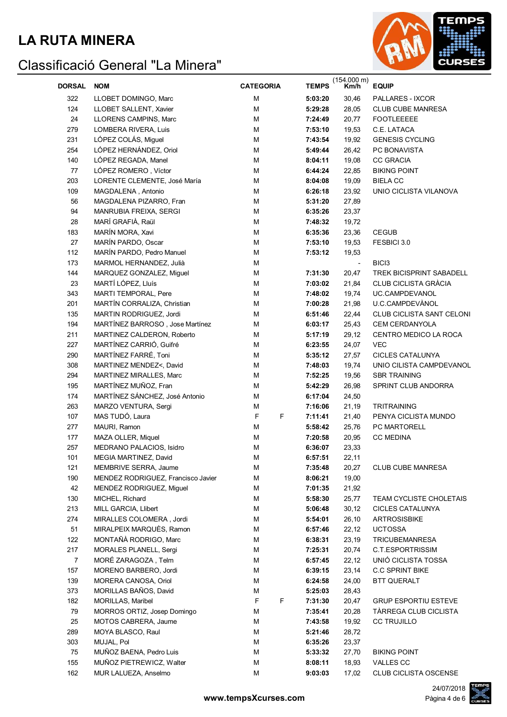

| DORSAL         | <b>NOM</b>                         | <b>CATEGORIA</b> | <b>TEMPS</b> | $(154.000 \text{ m})$<br>Km/h | <b>EQUIP</b>                    |
|----------------|------------------------------------|------------------|--------------|-------------------------------|---------------------------------|
|                |                                    |                  |              |                               |                                 |
| 322            | LLOBET DOMINGO, Marc               | M                | 5:03:20      | 30,46                         | PALLARES - IXCOR                |
| 124            | LLOBET SALLENT, Xavier             | M                | 5:29:28      | 28,05                         | <b>CLUB CUBE MANRESA</b>        |
| 24             | LLORENS CAMPINS, Marc              | M                | 7:24:49      | 20,77                         | <b>FOOTLEEEEE</b>               |
| 279            | LOMBERA RIVERA, Luis               | М                | 7:53:10      | 19,53                         | C.E. LATACA                     |
| 231            | LÓPEZ COLÁS, Miguel                | M                | 7:43:54      | 19,92                         | <b>GENESIS CYCLING</b>          |
| 254            | LÓPEZ HERNÁNDEZ, Oriol             | M                | 5:49:44      | 26,42                         | PC BONAVISTA                    |
| 140            | LÓPEZ REGADA, Manel                | M                | 8:04:11      | 19,08                         | <b>CC GRACIA</b>                |
| 77             | LÓPEZ ROMERO, Víctor               | M                | 6:44:24      | 22,85                         | <b>BIKING POINT</b>             |
| 203            | LORENTE CLEMENTE, José María       | M                | 8:04:08      | 19,09                         | <b>BIELA CC</b>                 |
| 109            | MAGDALENA, Antonio                 | M                | 6:26:18      | 23,92                         | UNIO CICLISTA VILANOVA          |
| 56             | MAGDALENA PIZARRO, Fran            | M                | 5:31:20      | 27,89                         |                                 |
| 94             | MANRUBIA FREIXA, SERGI             | M                | 6:35:26      | 23,37                         |                                 |
| 28             | MARÍ GRAFIÀ, Raül                  | M                | 7:48:32      | 19,72                         |                                 |
| 183            | MARÍN MORA, Xavi                   | M                | 6:35:36      | 23,36                         | <b>CEGUB</b>                    |
| 27             | MARÍN PARDO, Oscar                 | M                | 7:53:10      | 19,53                         | FESBICI 3.0                     |
| 112            | MARÍN PARDO, Pedro Manuel          | M                | 7:53:12      | 19,53                         |                                 |
| 173            | MARMOL HERNANDEZ, Julià            | M                |              | $\overline{\phantom{a}}$      | BIC <sub>3</sub>                |
| 144            | MARQUEZ GONZALEZ, Miguel           | M                | 7:31:30      | 20,47                         | <b>TREK BICISPRINT SABADELL</b> |
| 23             | MARTÍ LÓPEZ, Lluís                 | M                | 7:03:02      | 21,84                         | <b>CLUB CICLISTA GRÀCIA</b>     |
| 343            | MARTI TEMPORAL, Pere               | M                | 7:48:02      | 19,74                         | UC.CAMPDEVANOL                  |
| 201            | MARTÍN CORRALIZA, Christian        | M                | 7:00:28      | 21,98                         | U.C.CAMPDEVÀNOL                 |
| 135            | MARTIN RODRIGUEZ, Jordi            | M                | 6:51:46      | 22,44                         | CLUB CICLISTA SANT CELONI       |
| 194            | MARTÍNEZ BARROSO, Jose Martínez    | M                | 6:03:17      | 25,43                         | <b>CEM CERDANYOLA</b>           |
| 211            | MARTINEZ CALDERON, Roberto         | M                | 5:17:19      | 29,12                         | CENTRO MEDICO LA ROCA           |
| 227            | MARTÍNEZ CARRIÓ, Guifré            | M                | 6:23:55      | 24,07                         | <b>VEC</b>                      |
| 290            | MARTÍNEZ FARRÉ, Toni               | M                | 5:35:12      | 27,57                         | <b>CICLES CATALUNYA</b>         |
| 308            | MARTINEZ MENDEZ<, David            | M                | 7:48:03      | 19,74                         | UNIO CILISTA CAMPDEVANOL        |
| 294            | MARTINEZ MIRALLES, Marc            | M                | 7:52:25      |                               | <b>SBR TRAINING</b>             |
|                |                                    |                  |              | 19,56                         |                                 |
| 195            | MARTÍNEZ MUÑOZ, Fran               | М                | 5:42:29      | 26,98                         | SPRINT CLUB ANDORRA             |
| 174            | MARTÍNEZ SÁNCHEZ, José Antonio     | М                | 6:17:04      | 24,50                         |                                 |
| 263            | MARZO VENTURA, Sergi               | M                | 7:16:06      | 21,19                         | <b>TRITRAINING</b>              |
| 107            | MAS TUDÓ, Laura                    | F<br>F           | 7:11:41      | 21,40                         | PENYA CICLISTA MUNDO            |
| 277            | MAURI, Ramon                       | M                | 5:58:42      | 25,76                         | PC MARTORELL                    |
| 177            | MAZA OLLER, Miquel                 | M                | 7:20:58      | 20,95                         | <b>CC MEDINA</b>                |
| 257            | MEDRANO PALACIOS, Isidro           | М                | 6:36:07      | 23,33                         |                                 |
| 101            | MEGIA MARTINEZ, David              | М                | 6:57:51      | 22,11                         |                                 |
| 121            | MEMBRIVE SERRA, Jaume              | М                | 7:35:48      | 20,27                         | <b>CLUB CUBE MANRESA</b>        |
| 190            | MENDEZ RODRIGUEZ, Francisco Javier | M                | 8:06:21      | 19,00                         |                                 |
| 42             | MENDEZ RODRIGUEZ, Miguel           | M                | 7:01:35      | 21,92                         |                                 |
| 130            | MICHEL, Richard                    | M                | 5:58:30      | 25,77                         | TEAM CYCLISTE CHOLETAIS         |
| 213            | MILL GARCIA, Llibert               | M                | 5:06:48      | 30, 12                        | <b>CICLES CATALUNYA</b>         |
| 274            | MIRALLES COLOMERA, Jordi           | M                | 5:54:01      | 26,10                         | <b>ARTROSISBIKE</b>             |
| 51             | MIRALPEIX MARQUÈS, Ramon           | M                | 6:57:46      | 22,12                         | <b>UCTOSSA</b>                  |
| 122            | MONTAÑÀ RODRIGO, Marc              | M                | 6:38:31      | 23,19                         | <b>TRICUBEMANRESA</b>           |
| 217            | MORALES PLANELL, Sergi             | M                | 7:25:31      | 20,74                         | <b>C.T.ESPORTRISSIM</b>         |
| $\overline{7}$ | MORÉ ZARAGOZA, Telm                | M                | 6:57:45      | 22,12                         | UNIÓ CICLISTA TOSSA             |
| 157            | MORENO BARBERO, Jordi              | M                | 6:39:15      | 23,14                         | <b>C.C SPRINT BIKE</b>          |
| 139            | MORERA CANOSA, Oriol               | M                | 6:24:58      | 24,00                         | <b>BTT QUERALT</b>              |
| 373            | MORILLAS BAÑOS, David              | M                | 5:25:03      | 28,43                         |                                 |
| 182            | MORILLAS, Maribel                  | F<br>F           | 7:31:30      | 20,47                         | <b>GRUP ESPORTIU ESTEVE</b>     |
| 79             | MORROS ORTIZ, Josep Domingo        | М                | 7:35:41      | 20,28                         | TÀRREGA CLUB CICLISTA           |
| 25             | MOTOS CABRERA, Jaume               | M                | 7:43:58      | 19,92                         | <b>CC TRUJILLO</b>              |
| 289            | MOYA BLASCO, Raul                  | M                | 5:21:46      | 28,72                         |                                 |
| 303            | MUJAL, Pol                         | М                | 6:35:26      | 23,37                         |                                 |
| 75             | MUÑOZ BAENA, Pedro Luis            | М                | 5:33:32      | 27,70                         | <b>BIKING POINT</b>             |
| 155            | MUÑOZ PIETREWICZ, Walter           | М                | 8:08:11      | 18,93                         | VALLES CC                       |
| 162            | MUR LALUEZA, Anselmo               | M                | 9:03:03      | 17,02                         | CLUB CICLISTA OSCENSE           |

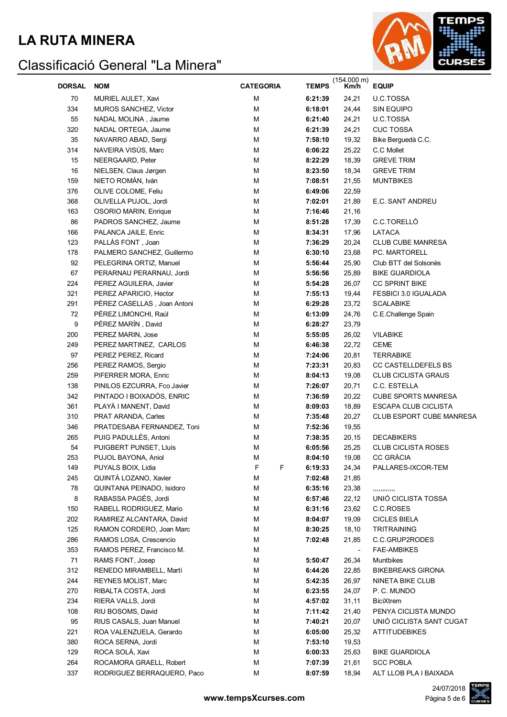#### **LA RUTA MINERA**



|        |                              |                  |                    | (154.000 m)    |                                     |
|--------|------------------------------|------------------|--------------------|----------------|-------------------------------------|
| DORSAL | <b>NOM</b>                   | <b>CATEGORIA</b> | <b>TEMPS</b>       | Km/h           | <b>EQUIP</b>                        |
| 70     | MURIEL AULET, Xavi           | M                | 6:21:39            | 24,21          | U.C.TOSSA                           |
| 334    | <b>MUROS SANCHEZ, Victor</b> | M                | 6:18:01            | 24,44          | <b>SIN EQUIPO</b>                   |
| 55     | NADAL MOLINA, Jaume          | M                | 6:21:40            | 24,21          | U.C.TOSSA                           |
| 320    | NADAL ORTEGA, Jaume          | M                | 6:21:39            | 24,21          | <b>CUC TOSSA</b>                    |
| 35     | NAVARRO ABAD, Sergi          | M                | 7:58:10            | 19,32          | Bike Berguedà C.C.                  |
| 314    | NAVEIRA VISÚS, Marc          | M                | 6:06:22            | 25,22          | C.C Mollet                          |
| 15     | NEERGAARD, Peter             | M                | 8:22:29            | 18,39          | <b>GREVE TRIM</b>                   |
| 16     | NIELSEN, Claus Jørgen        | M                | 8:23:50            | 18,34          | <b>GREVE TRIM</b>                   |
| 159    | NIETO ROMÁN, Iván            | м                | 7:08:51            | 21,55          | <b>MUNTBIKES</b>                    |
| 376    | OLIVE COLOME, Feliu          | м                | 6:49:06            | 22,59          |                                     |
| 368    | OLIVELLA PUJOL, Jordi        | M                | 7:02:01            | 21,89          | E.C. SANT ANDREU                    |
| 163    | OSORIO MARIN, Enrique        | M                | 7:16:46            | 21,16          |                                     |
| 86     | PADROS SANCHEZ, Jaume        | м                | 8:51:28            | 17,39          | C.C.TORELLÓ                         |
| 166    | PALANCA JAILE, Enric         | М                | 8:34:31            | 17,96          | LATACA                              |
| 123    | PALLAS FONT, Joan            | M                | 7:36:29            | 20,24          | <b>CLUB CUBE MANRESA</b>            |
| 178    | PALMERO SANCHEZ, Guillermo   | м                | 6:30:10            | 23,68          | PC. MARTORELL                       |
| 92     | PELEGRINA ORTIZ, Manuel      | м                | 5:56:44            | 25,90          | Club BTT del Solsonès               |
| 67     | PERARNAU PERARNAU, Jordi     | M                | 5:56:56            | 25,89          | <b>BIKE GUARDIOLA</b>               |
| 224    | PEREZ AGUILERA, Javier       | M                | 5:54:28            | 26,07          | CC SPRINT BIKE                      |
| 321    | PEREZ APARICIO, Hector       | M                | 7:55:13            | 19,44          | FESBICI 3.0 IGUALADA                |
| 291    | PÉREZ CASELLAS, Joan Antoni  | M                | 6:29:28            | 23,72          | <b>SCALABIKE</b>                    |
| 72     | PÉREZ LIMONCHI, Raúl         | M                | 6:13:09            | 24,76          | C.E.Challenge Spain                 |
| 9      | PÉREZ MARÍN, David           | M                | 6:28:27            | 23,79          |                                     |
| 200    | PEREZ MARIN, Jose            | M                | 5:55:05            | 26,02          | <b>VILABIKE</b>                     |
| 249    | PEREZ MARTINEZ, CARLOS       | M                | 6:46:38            | 22,72          | <b>CEME</b>                         |
| 97     | PEREZ PEREZ, Ricard          | M                | 7:24:06            | 20,81          | <b>TERRABIKE</b>                    |
| 256    | PEREZ RAMOS, Sergio          | M                | 7:23:31            | 20,83          | CC CASTELLDEFELS BS                 |
| 259    | PIFERRER MORA, Enric         | M                | 8:04:13            | 19,08          | <b>CLUB CICLISTA GRAUS</b>          |
| 138    | PINILOS EZCURRA, Fco Javier  | M                | 7:26:07            | 20,71          | C.C. ESTELLA                        |
| 342    | PINTADO I BOIXADÓS, ENRIC    | M                | 7:36:59            | 20,22          | <b>CUBE SPORTS MANRESA</b>          |
| 361    | PLAYÀ I MANENT, David        | M                | 8:09:03            | 18,89          | ESCAPA CLUB CICLISTA                |
| 310    | PRAT ARANDA, Carles          | M                | 7:35:48            | 20,27          | CLUB ESPORT CUBE MANRESA            |
| 346    | PRATDESABA FERNANDEZ, Toni   | M                | 7:52:36            | 19,55          |                                     |
| 265    | PUIG PADULLÉS, Antoni        | М                | 7:38:35            | 20,15          | <b>DECABIKERS</b>                   |
| 54     | PUIGBERT PUNSET, Lluís       | М                | 6:05:56            | 25,25          | <b>CLUB CICLISTA ROSES</b>          |
| 253    | PUJOL BAYONA, Aniol          | M                | 8:04:10            | 19,08          | CC GRÀCIA                           |
| 149    | PUYALS BOIX, Lidia           | F<br>F           | 6:19:33            | 24,34          | PALLARES-IXCOR-TEM                  |
| 245    | QUINTÀ LOZANO, Xavier        | M                | 7:02:48            | 21,85          |                                     |
| 78     | QUINTANA PEINADO, Isidoro    | M                | 6:35:16            | 23,38          |                                     |
| 8      | RABASSA PAGÉS, Jordi         | M                |                    |                | ,,,,,,,,,,,,<br>UNIÓ CICLISTA TOSSA |
| 150    | RABELL RODRIGUEZ, Mario      | M                | 6:57:46            | 22,12          | C.C.ROSES                           |
| 202    | RAMIREZ ALCANTARA, David     | M                | 6:31:16<br>8:04:07 | 23,62<br>19,09 |                                     |
|        |                              | M                |                    |                | <b>CICLES BIELA</b>                 |
| 125    | RAMON CORDERO, Joan Marc     |                  | 8:30:25            | 18,10          | TRITRAINING<br>C.C.GRUP2RODES       |
| 286    | RAMOS LOSA, Crescencio       | M                | 7:02:48            | 21,85          |                                     |
| 353    | RAMOS PEREZ, Francisco M.    | M                |                    |                | <b>FAE-AMBIKES</b>                  |
| 71     | RAMS FONT, Josep             | M                | 5:50:47            | 26,34          | Muntbikes                           |
| 312    | RENEDO MIRAMBELL, Martí      | M                | 6:44:26            | 22,85          | <b>BIKEBREAKS GIRONA</b>            |
| 244    | REYNES MOLIST, Marc          | М                | 5:42:35            | 26,97          | NINETA BIKE CLUB                    |
| 270    | RIBALTA COSTA, Jordi         | М                | 6:23:55            | 24,07          | P.C. MUNDO                          |
| 234    | RIERA VALLS, Jordi           | М                | 4:57:02            | 31,11          | <b>BiciXtrem</b>                    |
| 108    | RIU BOSOMS, David            | М                | 7:11:42            | 21,40          | PENYA CICLISTA MUNDO                |
| 95     | RIUS CASALS, Juan Manuel     | М                | 7:40:21            | 20,07          | UNIÓ CICLISTA SANT CUGAT            |
| 221    | ROA VALENZUELA, Gerardo      | M                | 6:05:00            | 25,32          | <b>ATTITUDEBIKES</b>                |
| 380    | ROCA SERNA, Jordi            | М                | 7:53:10            | 19,53          |                                     |
| 129    | ROCA SOLÀ, Xavi              | М                | 6:00:33            | 25,63          | <b>BIKE GUARDIOLA</b>               |
| 264    | ROCAMORA GRAELL, Robert      | M                | 7:07:39            | 21,61          | <b>SCC POBLA</b>                    |
| 337    | RODRIGUEZ BERRAQUERO, Paco   | M                | 8:07:59            | 18,94          | ALT LLOB PLA I BAIXADA              |